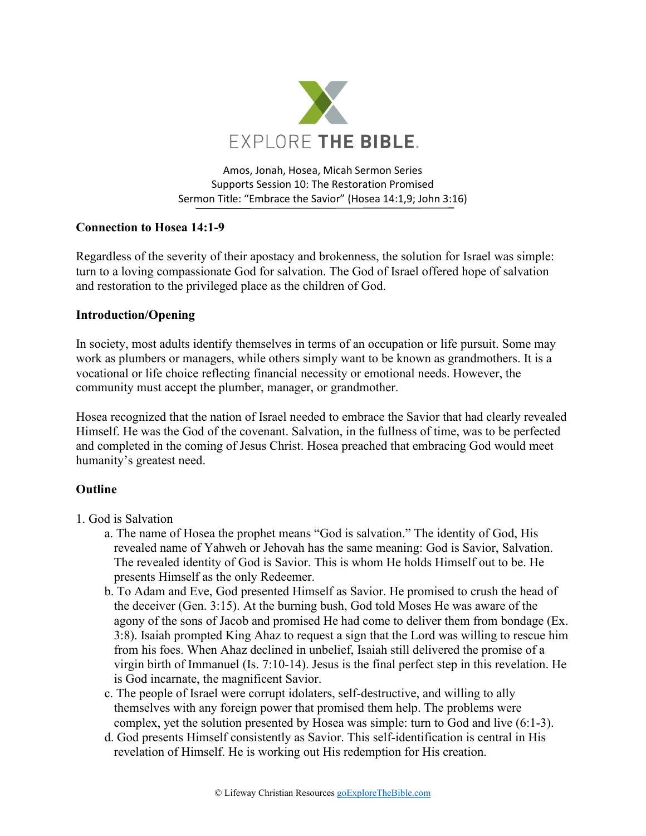

Amos, Jonah, Hosea, Micah Sermon Series Supports Session 10: The Restoration Promised Sermon Title: "Embrace the Savior" (Hosea 14:1,9; John 3:16)

# **Connection to Hosea 14:1-9**

Regardless of the severity of their apostacy and brokenness, the solution for Israel was simple: turn to a loving compassionate God for salvation. The God of Israel offered hope of salvation and restoration to the privileged place as the children of God.

## **Introduction/Opening**

In society, most adults identify themselves in terms of an occupation or life pursuit. Some may work as plumbers or managers, while others simply want to be known as grandmothers. It is a vocational or life choice reflecting financial necessity or emotional needs. However, the community must accept the plumber, manager, or grandmother.

Hosea recognized that the nation of Israel needed to embrace the Savior that had clearly revealed Himself. He was the God of the covenant. Salvation, in the fullness of time, was to be perfected and completed in the coming of Jesus Christ. Hosea preached that embracing God would meet humanity's greatest need.

# **Outline**

- 1. God is Salvation
	- a. The name of Hosea the prophet means "God is salvation." The identity of God, His revealed name of Yahweh or Jehovah has the same meaning: God is Savior, Salvation. The revealed identity of God is Savior. This is whom He holds Himself out to be. He presents Himself as the only Redeemer.
	- b. To Adam and Eve, God presented Himself as Savior. He promised to crush the head of the deceiver (Gen. 3:15). At the burning bush, God told Moses He was aware of the agony of the sons of Jacob and promised He had come to deliver them from bondage (Ex. 3:8). Isaiah prompted King Ahaz to request a sign that the Lord was willing to rescue him from his foes. When Ahaz declined in unbelief, Isaiah still delivered the promise of a virgin birth of Immanuel (Is. 7:10-14). Jesus is the final perfect step in this revelation. He is God incarnate, the magnificent Savior.
	- c. The people of Israel were corrupt idolaters, self-destructive, and willing to ally themselves with any foreign power that promised them help. The problems were complex, yet the solution presented by Hosea was simple: turn to God and live (6:1-3).
	- d. God presents Himself consistently as Savior. This self-identification is central in His revelation of Himself. He is working out His redemption for His creation.